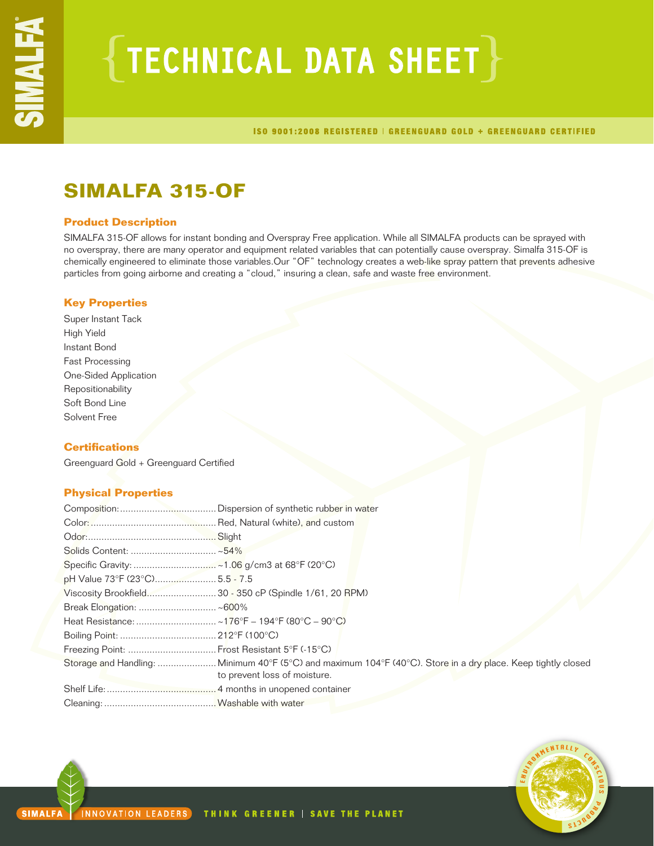# $\{$  TECHNICAL DATA SHEET  $\}$

ISO 9001:2008 REGISTERED | GREENGUARD GOLD + GREENGUARD CERTIFIED

## **SIMALFA 315-OF**

## **Product Description**

SIMALFA 315-OF allows for instant bonding and Overspray Free application. While all SIMALFA products can be sprayed with no overspray, there are many operator and equipment related variables that can potentially cause overspray. Simalfa 315-OF is chemically engineered to eliminate those variables.Our "OF" technology creates a web-like spray pattern that prevents adhesive particles from going airborne and creating a "cloud," insuring a clean, safe and waste free environment.

## **Key Properties**

Super Instant Tack High Yield Instant Bond Fast Processing One-Sided Application Repositionability Soft Bond Line Solvent Free

## **Certifications**

Greenguard Gold + Greenguard Certified

## **Physical Properties**

| pH Value 73°F (23°C) 5.5 - 7.5 |                                                                                                              |
|--------------------------------|--------------------------------------------------------------------------------------------------------------|
|                                |                                                                                                              |
|                                |                                                                                                              |
|                                |                                                                                                              |
|                                |                                                                                                              |
|                                | Freezing Point:  Frost Resistant 5°F (-15°C)                                                                 |
|                                | Storage and Handling: Minimum 40°F (5°C) and maximum 104°F (40°C). Store in a dry place. Keep tightly closed |
|                                | to prevent loss of moisture.                                                                                 |
|                                |                                                                                                              |
|                                |                                                                                                              |

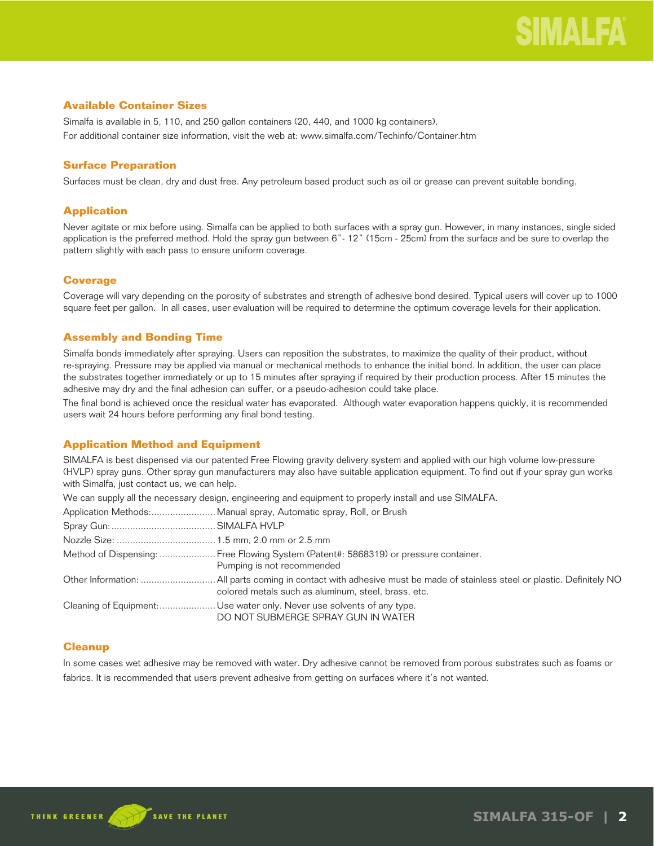## **Available Container Sizes**

Simalfa is available in 5, 110, and 250 gallon containers (20, 440, and 1000 kg containers). For additional container size information, visit the web at: www.simalfa.com/Techinfo/Container.htm

## **Surface Preparation**

Surfaces must be clean, dry and dust free. Any petroleum based product such as oil or grease can prevent suitable bonding.

## **Application**

Never agitate or mix before using. Simalfa can be applied to both surfaces with a spray gun. However, in many instances, single sided application is the preferred method. Hold the spray gun between 6"- 12" (15cm - 25cm) from the surface and be sure to overlap the pattern slightly with each pass to ensure uniform coverage.

## **Coverage**

Coverage will vary depending on the porosity of substrates and strength of adhesive bond desired. Typical users will cover up to 1000 square feet per gallon. In all cases, user evaluation will be required to determine the optimum coverage levels for their application.

## **Assembly and Bonding Time**

Simalfa bonds immediately after spraying. Users can reposition the substrates, to maximize the quality of their product, without re-spraying. Pressure may be applied via manual or mechanical methods to enhance the initial bond. In addition, the user can place the substrates together immediately or up to 15 minutes after spraying if required by their production process. After 15 minutes the adhesive may dry and the final adhesion can suffer, or a pseudo-adhesion could take place.

The final bond is achieved once the residual water has evaporated. Although water evaporation happens quickly, it is recommended users wait 24 hours before performing any final bond testing.

## **Application Method and Equipment**

SIMALFA is best dispensed via our patented Free Flowing gravity delivery system and applied with our high volume low-pressure (HVLP) spray guns. Other spray gun manufacturers may also have suitable application equipment. To find out if your spray gun works with Simalfa, just contact us, we can help.

We can supply all the necessary design, engineering and equipment to properly install and use SIMALFA.

| Method of Dispensing:  Free Flowing System (Patent#: 5868319) or pressure container.<br>Pumping is not recommended |
|--------------------------------------------------------------------------------------------------------------------|
| colored metals such as aluminum, steel, brass, etc.                                                                |
| Cleaning of Equipment: Use water only. Never use solvents of any type.<br>DO NOT SUBMERGE SPRAY GUN IN WATER       |

## **Cleanup**

In some cases wet adhesive may be removed with water. Dry adhesive cannot be removed from porous substrates such as foams or fabrics. It is recommended that users prevent adhesive from getting on surfaces where it's not wanted.

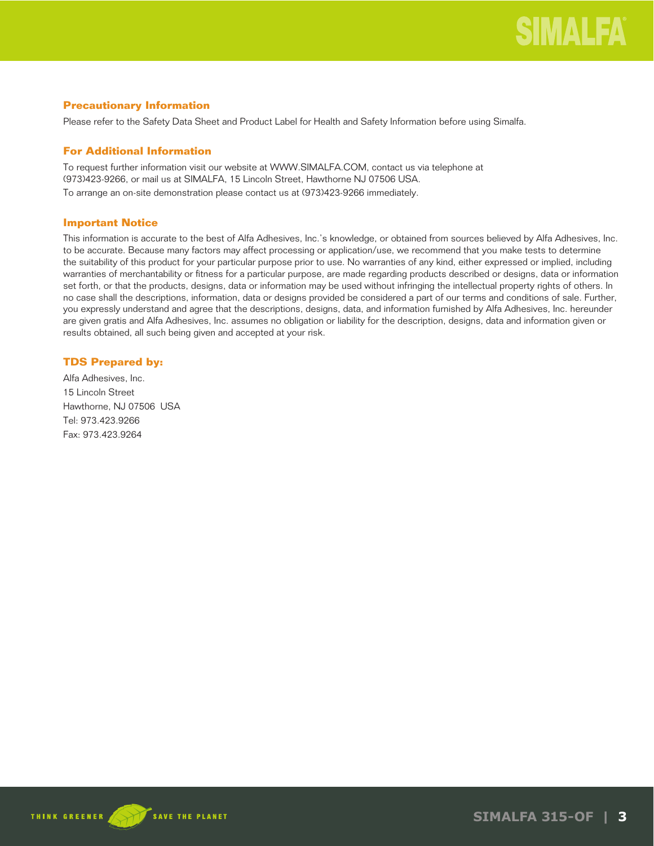## **Precautionary Information**

Please refer to the Safety Data Sheet and Product Label for Health and Safety Information before using Simalfa.

## **For Additional Information**

To request further information visit our website at WWW.SIMALFA.COM, contact us via telephone at (973)423-9266, or mail us at SIMALFA, 15 Lincoln Street, Hawthorne NJ 07506 USA.

To arrange an on-site demonstration please contact us at (973)423-9266 immediately.

## **Important Notice**

This information is accurate to the best of Alfa Adhesives, Inc.'s knowledge, or obtained from sources believed by Alfa Adhesives, Inc. to be accurate. Because many factors may affect processing or application/use, we recommend that you make tests to determine the suitability of this product for your particular purpose prior to use. No warranties of any kind, either expressed or implied, including warranties of merchantability or fitness for a particular purpose, are made regarding products described or designs, data or information set forth, or that the products, designs, data or information may be used without infringing the intellectual property rights of others. In no case shall the descriptions, information, data or designs provided be considered a part of our terms and conditions of sale. Further, you expressly understand and agree that the descriptions, designs, data, and information furnished by Alfa Adhesives, Inc. hereunder are given gratis and Alfa Adhesives, Inc. assumes no obligation or liability for the description, designs, data and information given or results obtained, all such being given and accepted at your risk.

## **TDS Prepared by:**

Alfa Adhesives, Inc. 15 Lincoln Street Hawthorne, NJ 07506 USA Tel: 973.423.9266 Fax: 973.423.9264



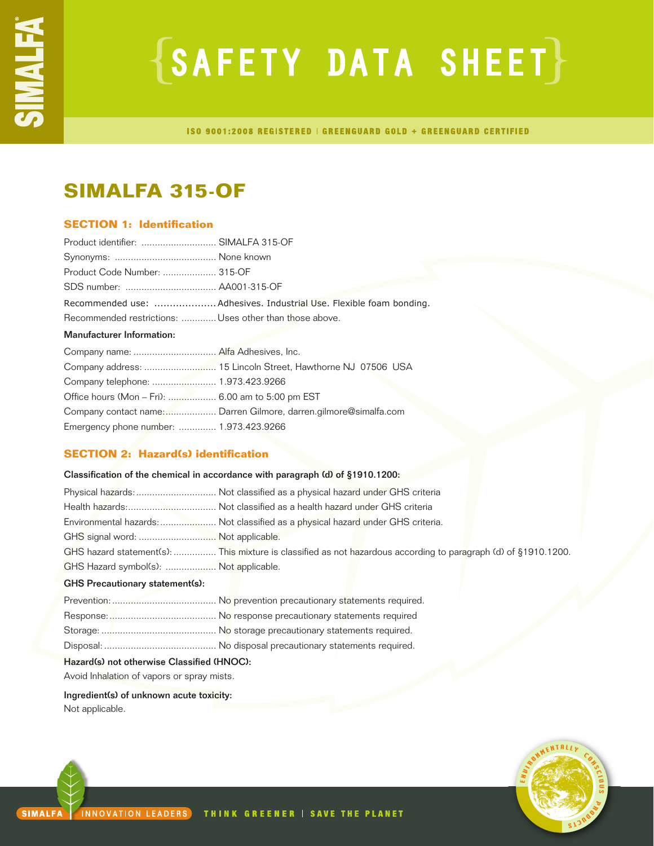# $\{SAFFITY$  DATA SHEET $\}$

ISO 9001:2008 REGISTERED | GREENGUARD GOLD + GREENGUARD CERTIFIED

## **SIMALFA 315-OF**

## **SECTION 1: Identification**

| Product identifier:  SIMALFA 315-OF                     |                                                                     |
|---------------------------------------------------------|---------------------------------------------------------------------|
|                                                         |                                                                     |
| Product Code Number:  315-OF                            |                                                                     |
|                                                         |                                                                     |
|                                                         | Recommended use:  Adhesives. Industrial Use. Flexible foam bonding. |
| Recommended restrictions:  Uses other than those above. |                                                                     |
| <b>Manufacturer Information:</b>                        |                                                                     |
| Company name:  Alfa Adhesives, Inc.                     |                                                                     |
|                                                         |                                                                     |
| Company telephone:  1.973.423.9266                      |                                                                     |
| Office hours (Mon – Fri):  6.00 am to 5:00 pm EST       |                                                                     |
|                                                         | Company contact name: Darren Gilmore, darren.gilmore@simalfa.com    |
| Emergency phone number:  1.973.423.9266                 |                                                                     |

## **SECTION 2: Hazard(s) identification**

|                                        | Classification of the chemical in accordance with paragraph (d) of §1910.1200:                                  |
|----------------------------------------|-----------------------------------------------------------------------------------------------------------------|
|                                        | Physical hazards:  Not classified as a physical hazard under GHS criteria                                       |
|                                        |                                                                                                                 |
|                                        | Environmental hazards: Not classified as a physical hazard under GHS criteria.                                  |
| GHS signal word:  Not applicable.      |                                                                                                                 |
|                                        | GHS hazard statement(s):  This mixture is classified as not hazardous according to paragraph (d) of §1910.1200. |
| GHS Hazard symbol(s):  Not applicable. |                                                                                                                 |
| <b>GHS Precautionary statement(s):</b> |                                                                                                                 |
|                                        |                                                                                                                 |
|                                        |                                                                                                                 |
|                                        |                                                                                                                 |

Disposal: .......................................... No disposal precautionary statements required.

## Hazard(s) not otherwise Classified (HNOC):

Avoid Inhalation of vapors or spray mists.

Ingredient(s) of unknown acute toxicity: Not applicable.

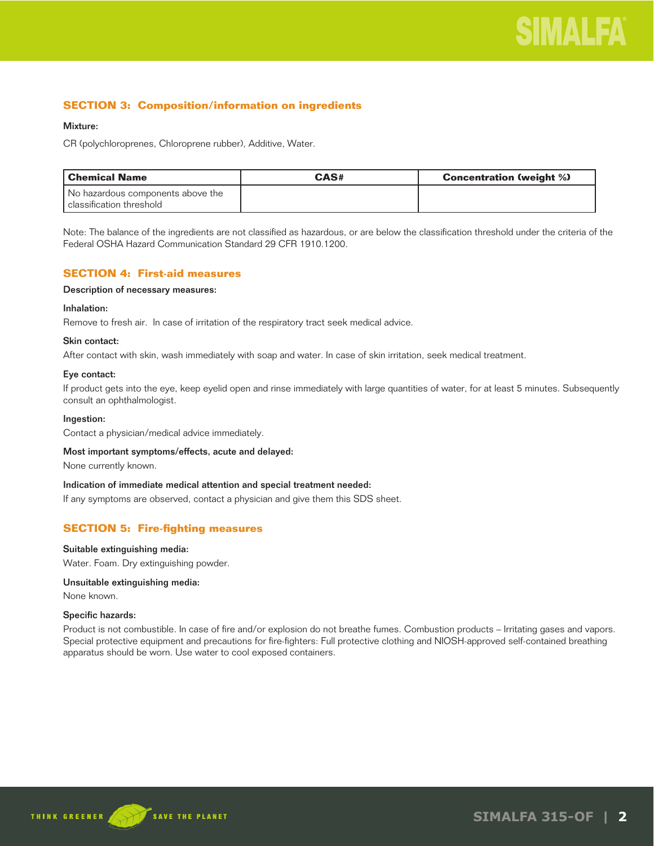## **SECTION 3: Composition/information on ingredients**

## Mixture:

CR (polychloroprenes, Chloroprene rubber), Additive, Water.

| l Chemical Name                   | CAS# | <b>Concentration (weight %)</b> |
|-----------------------------------|------|---------------------------------|
| No hazardous components above the |      |                                 |
| l classification threshold        |      |                                 |

Note: The balance of the ingredients are not classified as hazardous, or are below the classification threshold under the criteria of the Federal OSHA Hazard Communication Standard 29 CFR 1910.1200.

## **SECTION 4: First-aid measures**

## Description of necessary measures:

## Inhalation:

Remove to fresh air. In case of irritation of the respiratory tract seek medical advice.

## Skin contact:

After contact with skin, wash immediately with soap and water. In case of skin irritation, seek medical treatment.

## Eye contact:

If product gets into the eye, keep eyelid open and rinse immediately with large quantities of water, for at least 5 minutes. Subsequently consult an ophthalmologist.

#### Ingestion:

Contact a physician/medical advice immediately.

#### Most important symptoms/effects, acute and delayed:

None currently known.

#### Indication of immediate medical attention and special treatment needed:

If any symptoms are observed, contact a physician and give them this SDS sheet.

## **SECTION 5: Fire-fighting measures**

#### Suitable extinguishing media:

Water. Foam. Dry extinguishing powder.

## Unsuitable extinguishing media:

None known.

#### Specific hazards:

Product is not combustible. In case of fire and/or explosion do not breathe fumes. Combustion products – Irritating gases and vapors. Special protective equipment and precautions for fire-fighters: Full protective clothing and NIOSH-approved self-contained breathing apparatus should be worn. Use water to cool exposed containers.

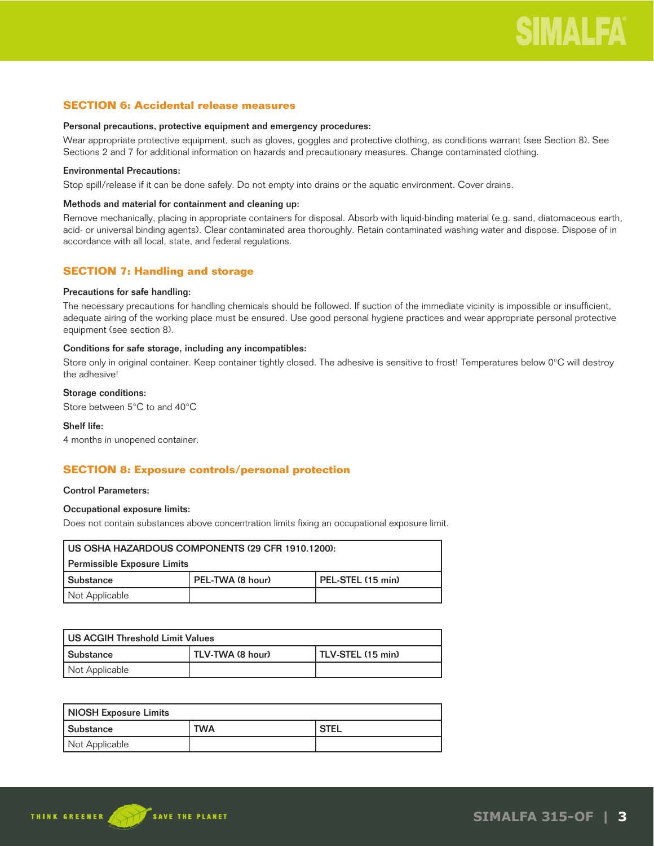## **SECTION 6: Accidental release measures**

#### Personal precautions, protective equipment and emergency procedures:

Wear appropriate protective equipment, such as gloves, goggles and protective clothing, as conditions warrant (see Section 8). See Sections 2 and 7 for additional information on hazards and precautionary measures. Change contaminated clothing.

## Environmental Precautions:

Stop spill/release if it can be done safely. Do not empty into drains or the aquatic environment. Cover drains.

## Methods and material for containment and cleaning up:

Remove mechanically, placing in appropriate containers for disposal. Absorb with liquid-binding material (e.g. sand, diatomaceous earth, acid- or universal binding agents). Clear contaminated area thoroughly. Retain contaminated washing water and dispose. Dispose of in accordance with all local, state, and federal regulations.

## **SECTION 7: Handling and storage**

#### Precautions for safe handling:

The necessary precautions for handling chemicals should be followed. If suction of the immediate vicinity is impossible or insufficient, adequate airing of the working place must be ensured. Use good personal hygiene practices and wear appropriate personal protective equipment (see section 8).

#### Conditions for safe storage, including any incompatibles:

Store only in original container. Keep container tightly closed. The adhesive is sensitive to frost! Temperatures below 0°C will destroy the adhesive!

## Storage conditions:

Store between 5°C to and 40°C

## Shelf life:

4 months in unopened container.

## **SECTION 8: Exposure controls/personal protection**

#### Control Parameters:

## Occupational exposure limits:

Does not contain substances above concentration limits fixing an occupational exposure limit.

| US OSHA HAZARDOUS COMPONENTS (29 CFR 1910.1200):     |  |  |  |
|------------------------------------------------------|--|--|--|
| Permissible Exposure Limits                          |  |  |  |
| PEL-TWA (8 hour)<br>PEL-STEL (15 min)<br>l Substance |  |  |  |
| Not Applicable                                       |  |  |  |

| US ACGIH Threshold Limit Values |                  |                   |  |
|---------------------------------|------------------|-------------------|--|
| Substance                       | TLV-TWA (8 hour) | TLV-STEL (15 min) |  |
| Not Applicable                  |                  |                   |  |

| <b>NIOSH Exposure Limits</b> |            |        |
|------------------------------|------------|--------|
| <b>Substance</b>             | <b>TWA</b> | ' STEL |
| Not Applicable               |            |        |

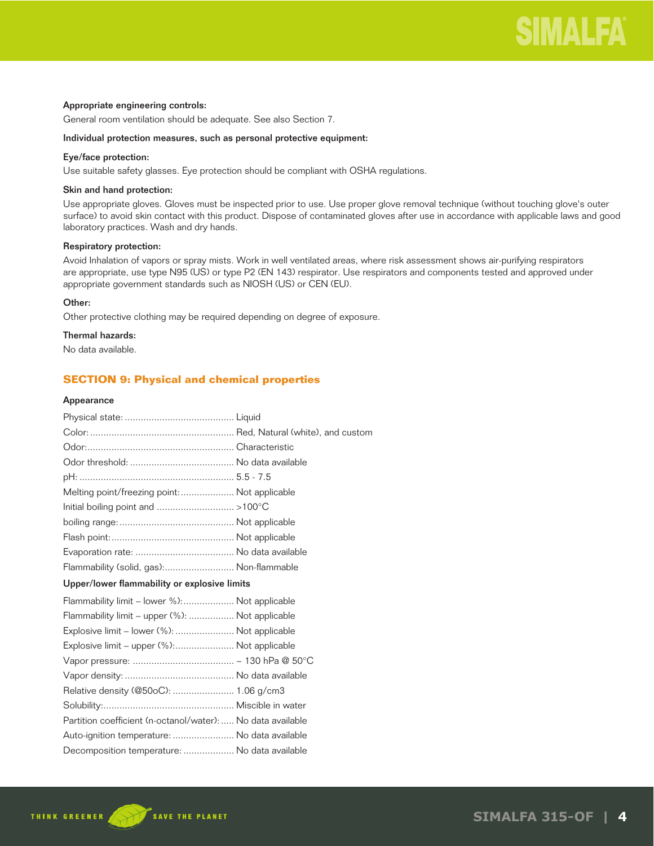#### Appropriate engineering controls:

General room ventilation should be adequate. See also Section 7.

#### Individual protection measures, such as personal protective equipment:

## Eye/face protection:

Use suitable safety glasses. Eye protection should be compliant with OSHA regulations.

#### Skin and hand protection:

Use appropriate gloves. Gloves must be inspected prior to use. Use proper glove removal technique (without touching glove's outer surface) to avoid skin contact with this product. Dispose of contaminated gloves after use in accordance with applicable laws and good laboratory practices. Wash and dry hands.

## Respiratory protection:

Avoid Inhalation of vapors or spray mists. Work in well ventilated areas, where risk assessment shows air-purifying respirators are appropriate, use type N95 (US) or type P2 (EN 143) respirator. Use respirators and components tested and approved under appropriate government standards such as NIOSH (US) or CEN (EU).

## Other:

Other protective clothing may be required depending on degree of exposure.

## Thermal hazards:

No data available.

## **SECTION 9: Physical and chemical properties**

#### Appearance

| Melting point/freezing point:  Not applicable               |  |
|-------------------------------------------------------------|--|
|                                                             |  |
|                                                             |  |
|                                                             |  |
|                                                             |  |
| Flammability (solid, gas): Non-flammable                    |  |
| Upper/lower flammability or explosive limits                |  |
| Flammability limit – lower %): Not applicable               |  |
| Flammability limit - upper (%):  Not applicable             |  |
| Explosive limit – lower (%):  Not applicable                |  |
| Explosive limit – upper (%): Not applicable                 |  |
|                                                             |  |
|                                                             |  |
| Relative density (@50oC):  1.06 g/cm3                       |  |
|                                                             |  |
| Partition coefficient (n-octanol/water):  No data available |  |
| Auto-ignition temperature:  No data available               |  |
| Decomposition temperature:  No data available               |  |
|                                                             |  |

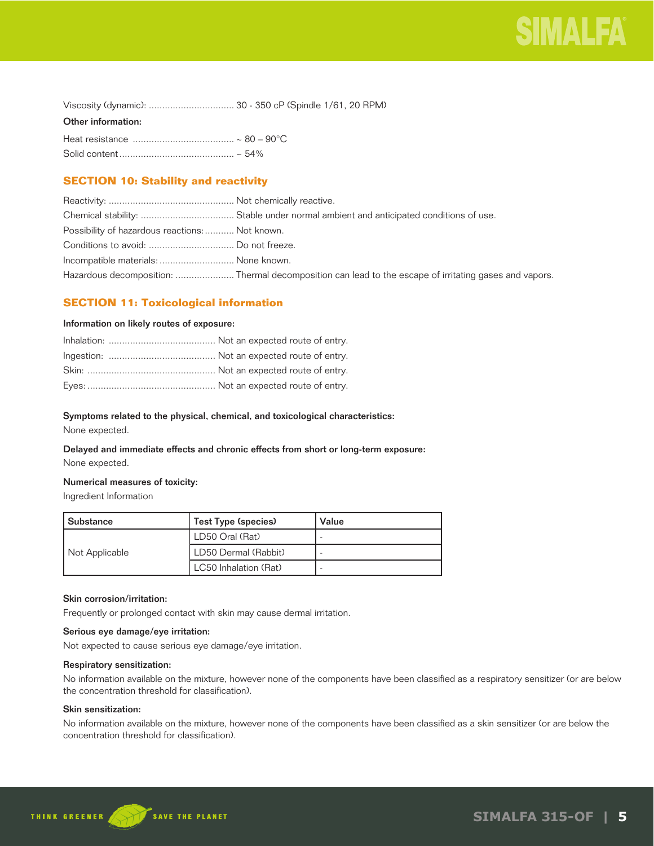| Viscosity (dynamic):  30 - 350 cP (Spindle 1/61, 20 RPM) |  |  |  |  |
|----------------------------------------------------------|--|--|--|--|
|----------------------------------------------------------|--|--|--|--|

## Other information:

## **SECTION 10: Stability and reactivity**

| Possibility of hazardous reactions:  Not known. |                                                                                                        |
|-------------------------------------------------|--------------------------------------------------------------------------------------------------------|
|                                                 |                                                                                                        |
| Incompatible materials:  None known.            |                                                                                                        |
|                                                 | Hazardous decomposition:  Thermal decomposition can lead to the escape of irritating gases and vapors. |

## **SECTION 11: Toxicological information**

#### Information on likely routes of exposure:

## Symptoms related to the physical, chemical, and toxicological characteristics:

None expected.

## Delayed and immediate effects and chronic effects from short or long-term exposure: None expected.

## Numerical measures of toxicity:

Ingredient Information

| l Substance    | Test Type (species)   | Value |
|----------------|-----------------------|-------|
|                | LD50 Oral (Rat)       |       |
| Not Applicable | LD50 Dermal (Rabbit)  |       |
|                | LC50 Inhalation (Rat) |       |

## Skin corrosion/irritation:

Frequently or prolonged contact with skin may cause dermal irritation.

## Serious eye damage/eye irritation:

Not expected to cause serious eye damage/eye irritation.

## Respiratory sensitization:

No information available on the mixture, however none of the components have been classified as a respiratory sensitizer (or are below the concentration threshold for classification).

## Skin sensitization:

No information available on the mixture, however none of the components have been classified as a skin sensitizer (or are below the concentration threshold for classification).

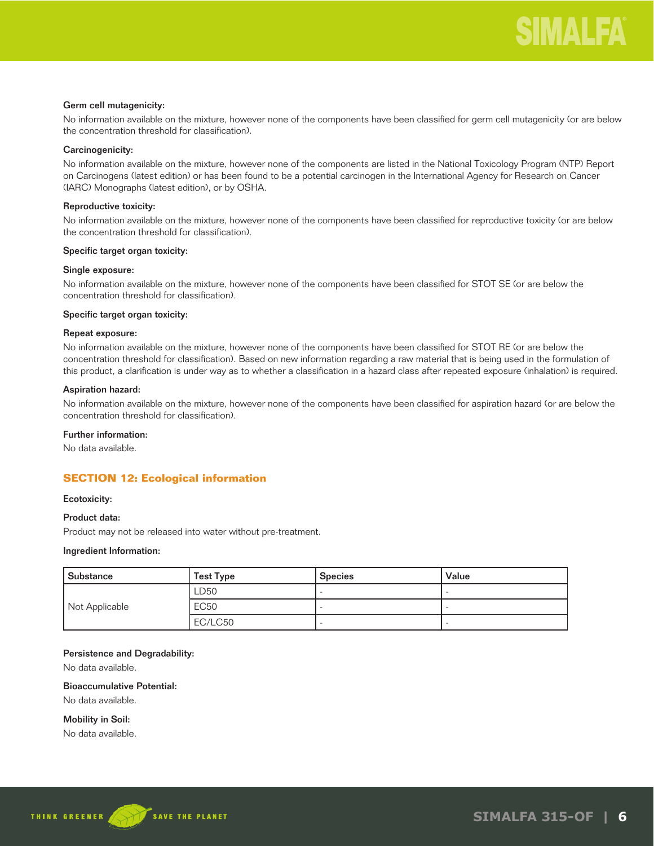## Germ cell mutagenicity:

No information available on the mixture, however none of the components have been classified for germ cell mutagenicity (or are below the concentration threshold for classification).

## Carcinogenicity:

No information available on the mixture, however none of the components are listed in the National Toxicology Program (NTP) Report on Carcinogens (latest edition) or has been found to be a potential carcinogen in the International Agency for Research on Cancer (IARC) Monographs (latest edition), or by OSHA.

## Reproductive toxicity:

No information available on the mixture, however none of the components have been classified for reproductive toxicity (or are below the concentration threshold for classification).

#### Specific target organ toxicity:

## Single exposure:

No information available on the mixture, however none of the components have been classified for STOT SE (or are below the concentration threshold for classification).

#### Specific target organ toxicity:

## Repeat exposure:

No information available on the mixture, however none of the components have been classified for STOT RE (or are below the concentration threshold for classification). Based on new information regarding a raw material that is being used in the formulation of this product, a clarification is under way as to whether a classification in a hazard class after repeated exposure (inhalation) is required.

#### Aspiration hazard:

No information available on the mixture, however none of the components have been classified for aspiration hazard (or are below the concentration threshold for classification).

## Further information:

No data available.

## **SECTION 12: Ecological information**

#### Ecotoxicity:

#### Product data:

Product may not be released into water without pre-treatment.

#### Ingredient Information:

| Substance      | <b>Test Type</b> | <b>Species</b> | Value |
|----------------|------------------|----------------|-------|
|                | LD50             |                |       |
| Not Applicable | <b>EC50</b>      |                |       |
|                | EC/LC50          |                |       |

#### Persistence and Degradability:

No data available.

Bioaccumulative Potential: No data available.

Mobility in Soil:

No data available.

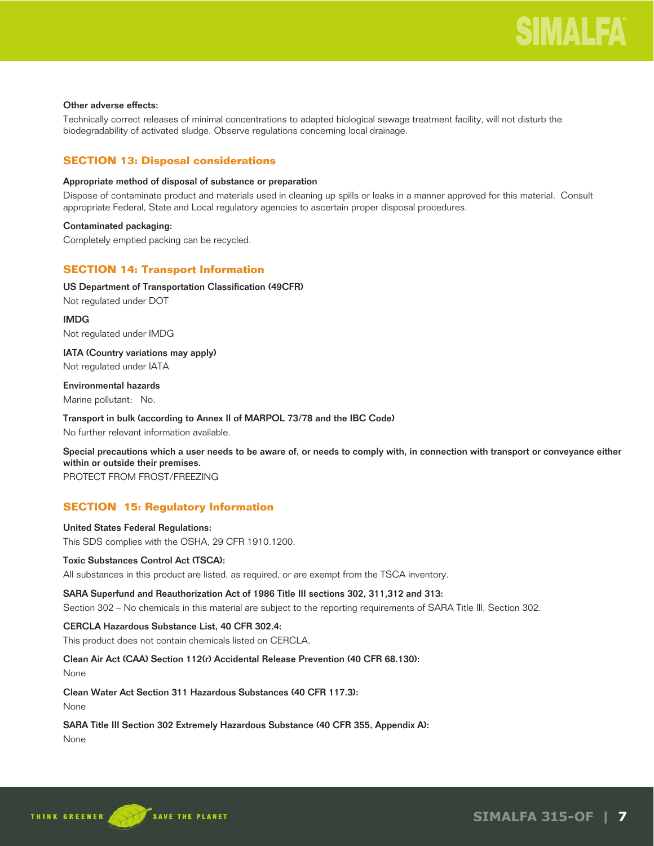## Other adverse effects:

Technically correct releases of minimal concentrations to adapted biological sewage treatment facility, will not disturb the biodegradability of activated sludge. Observe regulations concerning local drainage.

## **SECTION 13: Disposal considerations**

## Appropriate method of disposal of substance or preparation

Dispose of contaminate product and materials used in cleaning up spills or leaks in a manner approved for this material. Consult appropriate Federal, State and Local regulatory agencies to ascertain proper disposal procedures.

## Contaminated packaging:

Completely emptied packing can be recycled.

## **SECTION 14: Transport Information**

## US Department of Transportation Classification (49CFR)

Not regulated under DOT

IMDG Not regulated under IMDG

IATA (Country variations may apply) Not regulated under IATA

Environmental hazards Marine pollutant: No.

Transport in bulk (according to Annex II of MARPOL 73/78 and the IBC Code) No further relevant information available.

Special precautions which a user needs to be aware of, or needs to comply with, in connection with transport or conveyance either within or outside their premises.

PROTECT FROM FROST/FREEZING

## **SECTION 15: Regulatory Information**

## United States Federal Regulations: This SDS complies with the OSHA, 29 CFR 1910.1200.

## Toxic Substances Control Act (TSCA):

All substances in this product are listed, as required, or are exempt from the TSCA inventory.

## SARA Superfund and Reauthorization Act of 1986 Title III sections 302, 311,312 and 313:

Section 302 – No chemicals in this material are subject to the reporting requirements of SARA Title III, Section 302.

## CERCLA Hazardous Substance List, 40 CFR 302.4:

This product does not contain chemicals listed on CERCLA.

## Clean Air Act (CAA) Section 112(r) Accidental Release Prevention (40 CFR 68.130):

None

Clean Water Act Section 311 Hazardous Substances (40 CFR 117.3):

None

## SARA Title III Section 302 Extremely Hazardous Substance (40 CFR 355, Appendix A):

None

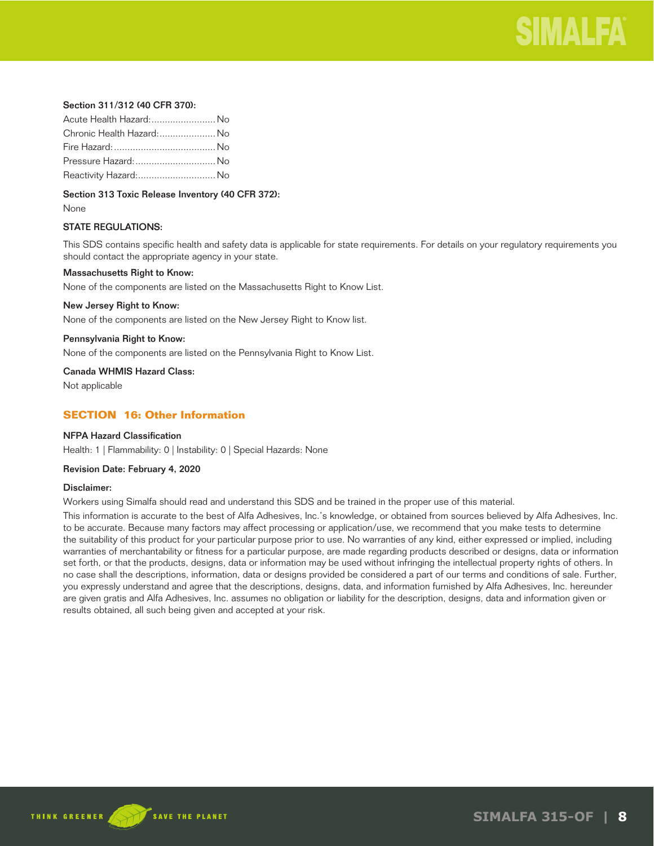

## Section 311/312 (40 CFR 370):

| Acute Health Hazard: No   |  |
|---------------------------|--|
| Chronic Health Hazard: No |  |
|                           |  |
| Pressure Hazard:  No      |  |
| Reactivity Hazard: No     |  |

Section 313 Toxic Release Inventory (40 CFR 372):

None

## STATE REGULATIONS:

This SDS contains specific health and safety data is applicable for state requirements. For details on your regulatory requirements you should contact the appropriate agency in your state.

#### Massachusetts Right to Know:

None of the components are listed on the Massachusetts Right to Know List.

#### New Jersey Right to Know:

None of the components are listed on the New Jersey Right to Know list.

#### Pennsylvania Right to Know:

None of the components are listed on the Pennsylvania Right to Know List.

Canada WHMIS Hazard Class:

Not applicable

## **SECTION 16: Other Information**

## NFPA Hazard Classification

Health: 1 | Flammability: 0 | Instability: 0 | Special Hazards: None

#### Revision Date: February 4, 2020

#### Disclaimer:

Workers using Simalfa should read and understand this SDS and be trained in the proper use of this material.

This information is accurate to the best of Alfa Adhesives, Inc.'s knowledge, or obtained from sources believed by Alfa Adhesives, Inc. to be accurate. Because many factors may affect processing or application/use, we recommend that you make tests to determine the suitability of this product for your particular purpose prior to use. No warranties of any kind, either expressed or implied, including warranties of merchantability or fitness for a particular purpose, are made regarding products described or designs, data or information set forth, or that the products, designs, data or information may be used without infringing the intellectual property rights of others. In no case shall the descriptions, information, data or designs provided be considered a part of our terms and conditions of sale. Further, you expressly understand and agree that the descriptions, designs, data, and information furnished by Alfa Adhesives, Inc. hereunder are given gratis and Alfa Adhesives, Inc. assumes no obligation or liability for the description, designs, data and information given or results obtained, all such being given and accepted at your risk.

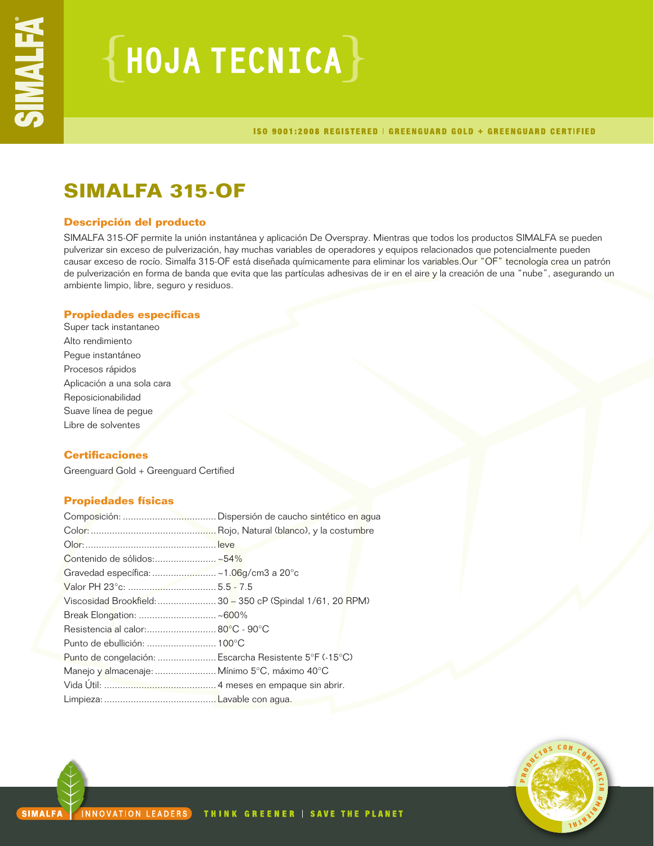# $\{$  HOJA TECNICA $\}$

ISO 9001:2008 REGISTERED | GREENGUARD GOLD + GREENGUARD CERTIFIED

## **SIMALFA 315-OF**

## **Descripción del producto**

SIMALFA 315-OF permite la unión instantánea y aplicación De Overspray. Mientras que todos los productos SIMALFA se pueden pulverizar sin exceso de pulverización, hay muchas variables de operadores y equipos relacionados que potencialmente pueden causar exceso de rocío. Simalfa 315-OF está diseñada químicamente para eliminar los variables.Our "OF" tecnología crea un patrón de pulverización en forma de banda que evita que las partículas adhesivas de ir en el aire y la creación de una "nube", asegurando un ambiente limpio, libre, seguro y residuos.

## **Propiedades específicas**

Super tack instantaneo Alto rendimiento Pegue instantáneo Procesos rápidos Aplicación a una sola cara Reposicionabilidad Suave línea de pegue Libre de solventes

## **Certificaciones**

Greenguard Gold + Greenguard Certified

## **Propiedades físicas**

| Contenido de sólidos:~54%                              |                                                            |
|--------------------------------------------------------|------------------------------------------------------------|
|                                                        |                                                            |
|                                                        |                                                            |
|                                                        | Viscosidad Brookfield:  30 - 350 cP (Spindal 1/61, 20 RPM) |
|                                                        |                                                            |
| Resistencia al calor: 80°C - 90°C                      |                                                            |
|                                                        |                                                            |
| Punto de congelación:  Escarcha Resistente 5°F (-15°C) |                                                            |
| Manejo y almacenaje:  Mínimo 5°C, máximo 40°C          |                                                            |
|                                                        |                                                            |
|                                                        |                                                            |

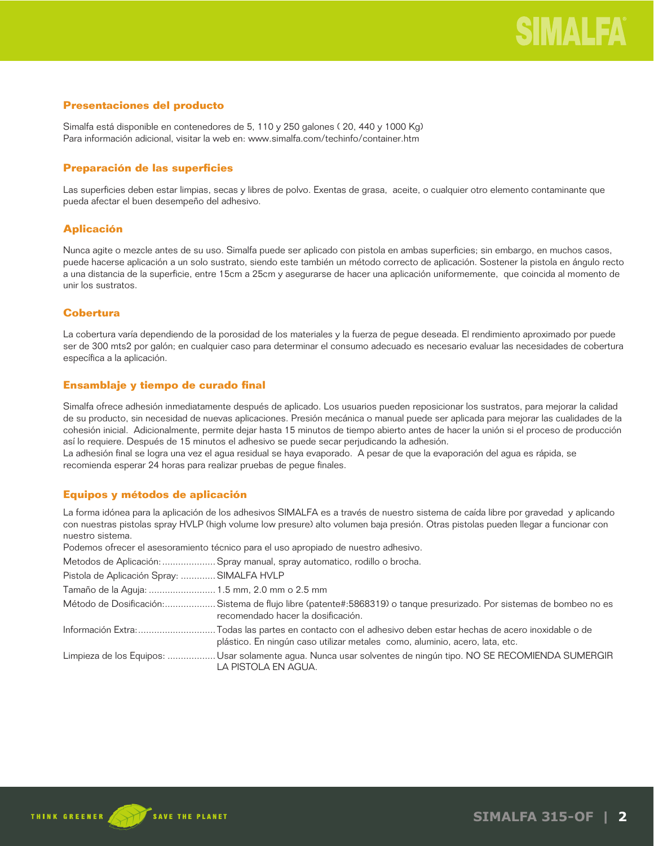## **Presentaciones del producto**

Simalfa está disponible en contenedores de 5, 110 y 250 galones ( 20, 440 y 1000 Kg) Para información adicional, visitar la web en: www.simalfa.com/techinfo/container.htm

## **Preparación de las superficies**

Las superficies deben estar limpias, secas y libres de polvo. Exentas de grasa, aceite, o cualquier otro elemento contaminante que pueda afectar el buen desempeño del adhesivo.

## **Aplicación**

Nunca agite o mezcle antes de su uso. Simalfa puede ser aplicado con pistola en ambas superficies; sin embargo, en muchos casos, puede hacerse aplicación a un solo sustrato, siendo este también un método correcto de aplicación. Sostener la pistola en ángulo recto a una distancia de la superficie, entre 15cm a 25cm y asegurarse de hacer una aplicación uniformemente, que coincida al momento de unir los sustratos.

## **Cobertura**

La cobertura varía dependiendo de la porosidad de los materiales y la fuerza de pegue deseada. El rendimiento aproximado por puede ser de 300 mts2 por galón; en cualquier caso para determinar el consumo adecuado es necesario evaluar las necesidades de cobertura específica a la aplicación.

## **Ensamblaje y tiempo de curado final**

Simalfa ofrece adhesión inmediatamente después de aplicado. Los usuarios pueden reposicionar los sustratos, para mejorar la calidad de su producto, sin necesidad de nuevas aplicaciones. Presión mecánica o manual puede ser aplicada para mejorar las cualidades de la cohesión inicial. Adicionalmente, permite dejar hasta 15 minutos de tiempo abierto antes de hacer la unión si el proceso de producción así lo requiere. Después de 15 minutos el adhesivo se puede secar perjudicando la adhesión.

La adhesión final se logra una vez el agua residual se haya evaporado. A pesar de que la evaporación del agua es rápida, se recomienda esperar 24 horas para realizar pruebas de pegue finales.

## **Equipos y métodos de aplicación**

La forma idónea para la aplicación de los adhesivos SIMALFA es a través de nuestro sistema de caída libre por gravedad y aplicando con nuestras pistolas spray HVLP (high volume low presure) alto volumen baja presión. Otras pistolas pueden llegar a funcionar con nuestro sistema.

Podemos ofrecer el asesoramiento técnico para el uso apropiado de nuestro adhesivo.

Metodos de Aplicación: ....................Spray manual, spray automatico, rodillo o brocha.

| Pistola de Aplicación Spray:  SIMALFA HVLP   |                                                                                                                                                                                           |
|----------------------------------------------|-------------------------------------------------------------------------------------------------------------------------------------------------------------------------------------------|
| Tamaño de la Aguja:  1.5 mm, 2.0 mm o 2.5 mm |                                                                                                                                                                                           |
|                                              | Método de Dosificación:Sistema de flujo libre (patente#:5868319) o tanque presurizado. Por sistemas de bombeo no es<br>recomendado hacer la dosificación.                                 |
|                                              | Información Extra:Todas las partes en contacto con el adhesivo deben estar hechas de acero inoxidable o de<br>plástico. En ningún caso utilizar metales como, aluminio, acero, lata, etc. |
|                                              | Limpieza de los Equipos: Usar solamente agua. Nunca usar solventes de ningún tipo. NO SE RECOMIENDA SUMERGIR<br>LA PISTOLA EN AGUA.                                                       |

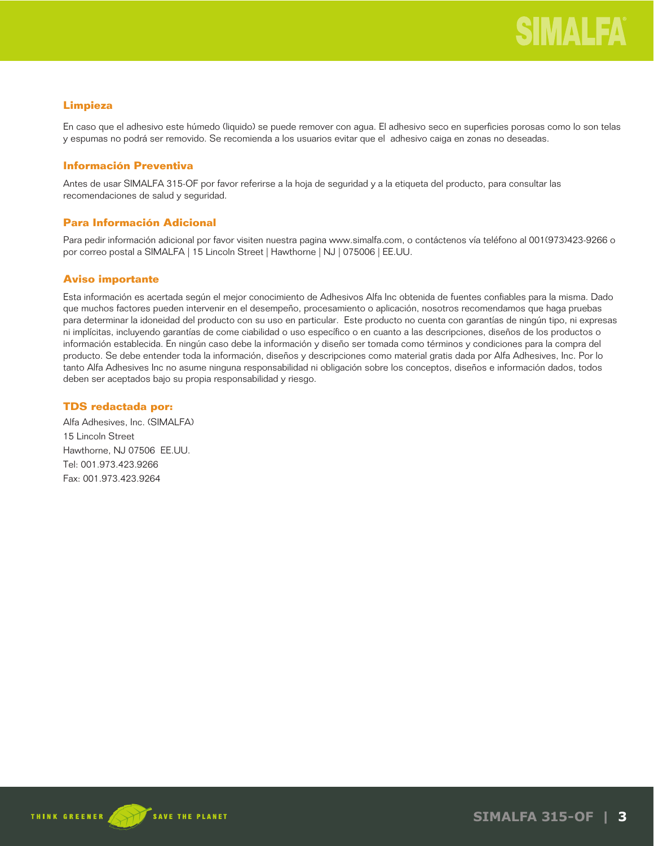## **Limpieza**

En caso que el adhesivo este húmedo (liquido) se puede remover con agua. El adhesivo seco en superficies porosas como lo son telas y espumas no podrá ser removido. Se recomienda a los usuarios evitar que el adhesivo caiga en zonas no deseadas.

## **Información Preventiva**

Antes de usar SIMALFA 315-OF por favor referirse a la hoja de seguridad y a la etiqueta del producto, para consultar las recomendaciones de salud y seguridad.

## **Para Información Adicional**

Para pedir información adicional por favor visiten nuestra pagina www.simalfa.com, o contáctenos vía teléfono al 001(973)423-9266 o por correo postal a SIMALFA | 15 Lincoln Street | Hawthorne | NJ | 075006 | EE.UU.

## **Aviso importante**

Esta información es acertada según el mejor conocimiento de Adhesivos Alfa Inc obtenida de fuentes confiables para la misma. Dado que muchos factores pueden intervenir en el desempeño, procesamiento o aplicación, nosotros recomendamos que haga pruebas para determinar la idoneidad del producto con su uso en particular. Este producto no cuenta con garantías de ningún tipo, ni expresas ni implícitas, incluyendo garantías de come ciabilidad o uso específico o en cuanto a las descripciones, diseños de los productos o información establecida. En ningún caso debe la información y diseño ser tomada como términos y condiciones para la compra del producto. Se debe entender toda la información, diseños y descripciones como material gratis dada por Alfa Adhesives, Inc. Por lo tanto Alfa Adhesives Inc no asume ninguna responsabilidad ni obligación sobre los conceptos, diseños e información dados, todos deben ser aceptados bajo su propia responsabilidad y riesgo.

## **TDS redactada por:**

Alfa Adhesives, Inc. (SIMALFA) 15 Lincoln Street Hawthorne, NJ 07506 EE.UU. Tel: 001.973.423.9266 Fax: 001.973.423.9264

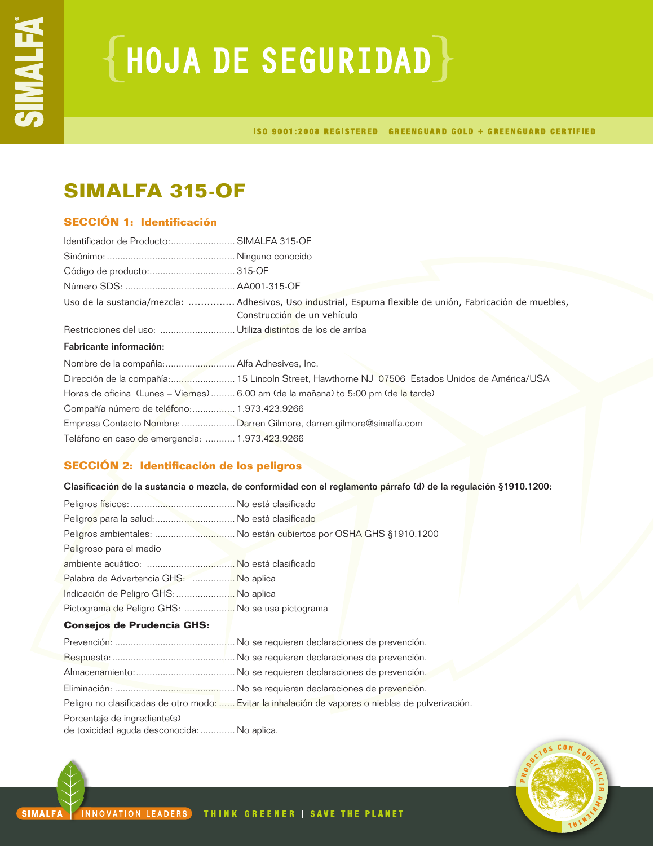# ${HoudA DE SEGURIDAD}$

ISO 9001:2008 REGISTERED | GREENGUARD GOLD + GREENGUARD CERTIFIED

## **SIMALFA 315-OF**

## **SECCIÓN 1: Identificación**

| Identificador de Producto: SIMALFA 315-OF       |                                                                                                                                          |
|-------------------------------------------------|------------------------------------------------------------------------------------------------------------------------------------------|
|                                                 |                                                                                                                                          |
|                                                 |                                                                                                                                          |
|                                                 |                                                                                                                                          |
|                                                 | Uso de la sustancia/mezcla:  Adhesivos, Uso industrial, Espuma flexible de unión, Fabricación de muebles,<br>Construcción de un vehículo |
|                                                 |                                                                                                                                          |
| Fabricante información:                         |                                                                                                                                          |
|                                                 |                                                                                                                                          |
|                                                 | Dirección de la compañía: 15 Lincoln Street, Hawthorne NJ 07506 Estados Unidos de América/USA                                            |
|                                                 | Horas de oficina (Lunes – Viernes)  6.00 am (de la mañana) to 5:00 pm (de la tarde)                                                      |
| Compañía número de teléfono:  1.973.423.9266    |                                                                                                                                          |
|                                                 | Empresa Contacto Nombre:  Darren Gilmore, darren.gilmore@simalfa.com                                                                     |
| Teléfono en caso de emergencia:  1.973.423.9266 |                                                                                                                                          |

## **SECCIÓN 2: Identificación de los peligros**

Clasificación de la sustancia o mezcla, de conformidad con el reglamento párrafo (d) de la regulación §1910.1200:

| Peligros para la salud: No está clasificado      |                                                                   |
|--------------------------------------------------|-------------------------------------------------------------------|
|                                                  | Peligros ambientales:  No están cubiertos por OSHA GHS §1910.1200 |
| Peligroso para el medio                          |                                                                   |
|                                                  |                                                                   |
| Palabra de Advertencia GHS:  No aplica           |                                                                   |
| Indicación de Peligro GHS:  No aplica            |                                                                   |
| Pictograma de Peligro GHS:  No se usa pictograma |                                                                   |
| <b>Consejos de Prudencia GHS:</b>                |                                                                   |
|                                                  |                                                                   |
|                                                  |                                                                   |
|                                                  |                                                                   |

- Eliminación: ............................................. No se requieren declaraciones de prevención.
- Peligro no clasificadas de otro modo: ...... Evitar la inhalación de vapores o nieblas de pulverización.

Porcentaje de ingrediente(s)

de toxicidad aguda desconocida:............. No aplica.

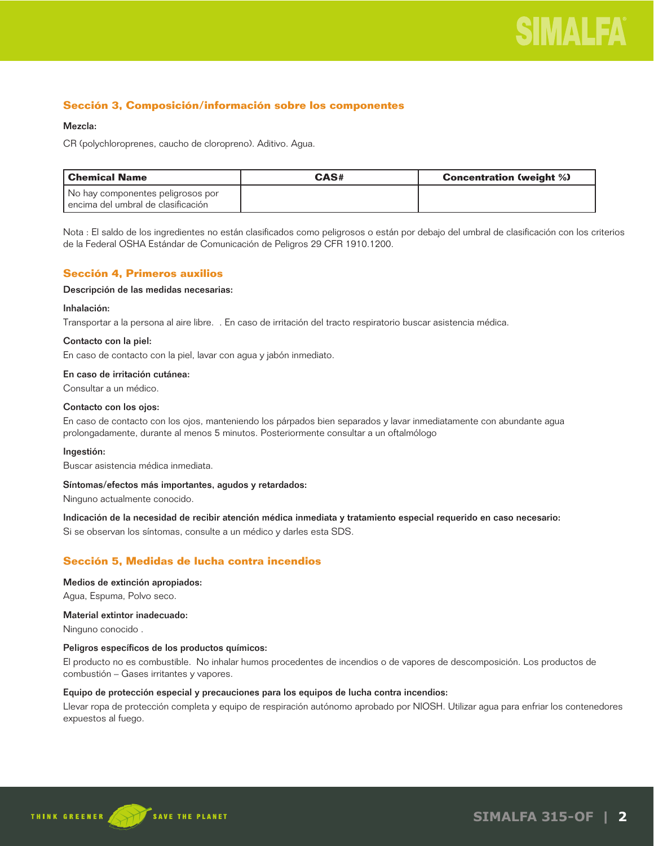

## **Sección 3, Composición/información sobre los componentes**

#### Mezcla:

CR (polychloroprenes, caucho de cloropreno). Aditivo. Agua.

| l Chemical Name                        | CAS# | <b>Concentration (weight %)</b> |
|----------------------------------------|------|---------------------------------|
| No hay componentes peligrosos por      |      |                                 |
| l encima del umbral de clasificación l |      |                                 |

Nota : El saldo de los ingredientes no están clasificados como peligrosos o están por debajo del umbral de clasificación con los criterios de la Federal OSHA Estándar de Comunicación de Peligros 29 CFR 1910.1200.

## **Sección 4, Primeros auxilios**

#### Descripción de las medidas necesarias:

#### Inhalación:

Transportar a la persona al aire libre. . En caso de irritación del tracto respiratorio buscar asistencia médica.

#### Contacto con la piel:

En caso de contacto con la piel, lavar con agua y jabón inmediato.

## En caso de irritación cutánea:

Consultar a un médico.

## Contacto con los ojos:

En caso de contacto con los ojos, manteniendo los párpados bien separados y lavar inmediatamente con abundante agua prolongadamente, durante al menos 5 minutos. Posteriormente consultar a un oftalmólogo

#### Ingestión:

Buscar asistencia médica inmediata.

#### Síntomas/efectos más importantes, agudos y retardados:

Ninguno actualmente conocido.

Indicación de la necesidad de recibir atención médica inmediata y tratamiento especial requerido en caso necesario:

Si se observan los síntomas, consulte a un médico y darles esta SDS.

## **Sección 5, Medidas de lucha contra incendios**

#### Medios de extinción apropiados:

Agua, Espuma, Polvo seco.

## Material extintor inadecuado:

Ninguno conocido .

#### Peligros específicos de los productos químicos:

El producto no es combustible. No inhalar humos procedentes de incendios o de vapores de descomposición. Los productos de combustión – Gases irritantes y vapores.

## Equipo de protección especial y precauciones para los equipos de lucha contra incendios:

Llevar ropa de protección completa y equipo de respiración autónomo aprobado por NIOSH. Utilizar agua para enfriar los contenedores expuestos al fuego.

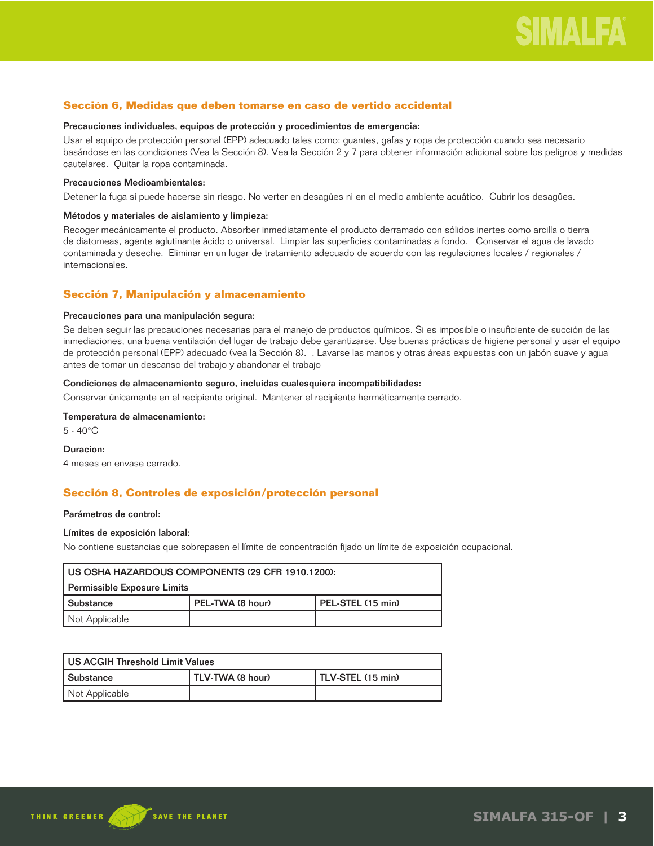## **Sección 6, Medidas que deben tomarse en caso de vertido accidental**

#### Precauciones individuales, equipos de protección y procedimientos de emergencia:

Usar el equipo de protección personal (EPP) adecuado tales como: guantes, gafas y ropa de protección cuando sea necesario basándose en las condiciones (Vea la Sección 8). Vea la Sección 2 y 7 para obtener información adicional sobre los peligros y medidas cautelares. Quitar la ropa contaminada.

#### Precauciones Medioambientales:

Detener la fuga si puede hacerse sin riesgo. No verter en desagües ni en el medio ambiente acuático. Cubrir los desagües.

#### Métodos y materiales de aislamiento y limpieza:

Recoger mecánicamente el producto. Absorber inmediatamente el producto derramado con sólidos inertes como arcilla o tierra de diatomeas, agente aglutinante ácido o universal. Limpiar las superficies contaminadas a fondo. Conservar el agua de lavado contaminada y deseche. Eliminar en un lugar de tratamiento adecuado de acuerdo con las regulaciones locales / regionales / internacionales.

## **Sección 7, Manipulación y almacenamiento**

#### Precauciones para una manipulación segura:

Se deben seguir las precauciones necesarias para el manejo de productos químicos. Si es imposible o insuficiente de succión de las inmediaciones, una buena ventilación del lugar de trabajo debe garantizarse. Use buenas prácticas de higiene personal y usar el equipo de protección personal (EPP) adecuado (vea la Sección 8). . Lavarse las manos y otras áreas expuestas con un jabón suave y agua antes de tomar un descanso del trabajo y abandonar el trabajo

## Condiciones de almacenamiento seguro, incluidas cualesquiera incompatibilidades:

Conservar únicamente en el recipiente original. Mantener el recipiente herméticamente cerrado.

## Temperatura de almacenamiento:

5 - 40°C

#### Duracion:

4 meses en envase cerrado.

## **Sección 8, Controles de exposición/protección personal**

#### Parámetros de control:

#### Límites de exposición laboral:

No contiene sustancias que sobrepasen el límite de concentración fijado un límite de exposición ocupacional.

| US OSHA HAZARDOUS COMPONENTS (29 CFR 1910.1200):            |  |  |
|-------------------------------------------------------------|--|--|
| Permissible Exposure Limits                                 |  |  |
| PEL-TWA (8 hour)<br>l PEL-STEL (15 min)<br><b>Substance</b> |  |  |
| Not Applicable                                              |  |  |

| US ACGIH Threshold Limit Values |                  |                   |
|---------------------------------|------------------|-------------------|
| l Substance                     | TLV-TWA (8 hour) | TLV-STEL (15 min) |
| Not Applicable                  |                  |                   |

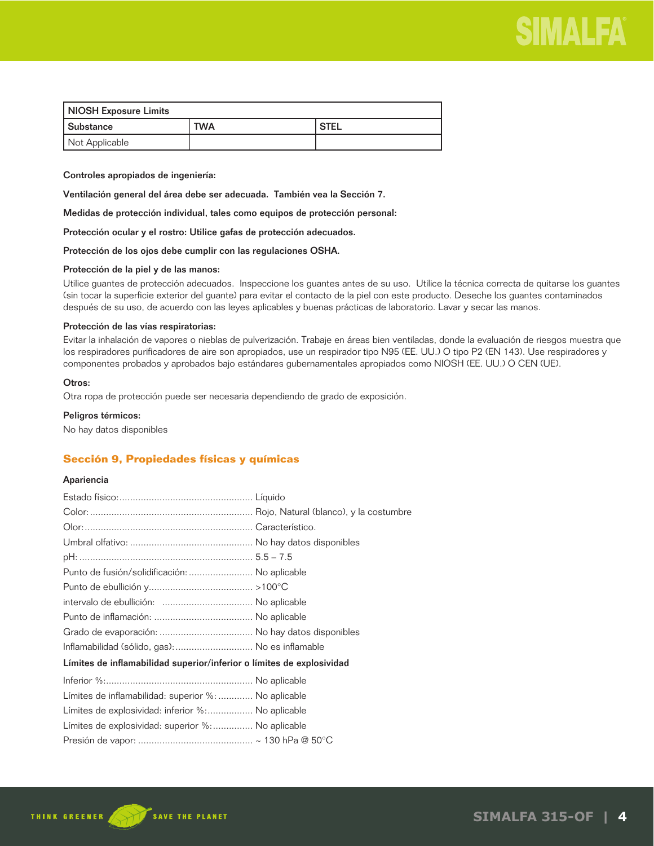

| NIOSH Exposure Limits |            |             |
|-----------------------|------------|-------------|
| Substance             | <b>TWA</b> | <b>STEL</b> |
| Not Applicable        |            |             |

Controles apropiados de ingeniería:

Ventilación general del área debe ser adecuada. También vea la Sección 7.

Medidas de protección individual, tales como equipos de protección personal:

Protección ocular y el rostro: Utilice gafas de protección adecuados.

Protección de los ojos debe cumplir con las regulaciones OSHA.

#### Protección de la piel y de las manos:

Utilice guantes de protección adecuados. Inspeccione los guantes antes de su uso. Utilice la técnica correcta de quitarse los guantes (sin tocar la superficie exterior del guante) para evitar el contacto de la piel con este producto. Deseche los guantes contaminados después de su uso, de acuerdo con las leyes aplicables y buenas prácticas de laboratorio. Lavar y secar las manos.

#### Protección de las vías respiratorias:

Evitar la inhalación de vapores o nieblas de pulverización. Trabaje en áreas bien ventiladas, donde la evaluación de riesgos muestra que los respiradores purificadores de aire son apropiados, use un respirador tipo N95 (EE. UU.) O tipo P2 (EN 143). Use respiradores y componentes probados y aprobados bajo estándares gubernamentales apropiados como NIOSH (EE. UU.) O CEN (UE).

## Otros:

Otra ropa de protección puede ser necesaria dependiendo de grado de exposición.

## Peligros térmicos:

No hay datos disponibles

#### **Sección 9, Propiedades físicas y químicas**

## Apariencia

| Punto de fusión/solidificación:  No aplicable                         |  |
|-----------------------------------------------------------------------|--|
|                                                                       |  |
|                                                                       |  |
|                                                                       |  |
|                                                                       |  |
| Inflamabilidad (sólido, gas):  No es inflamable                       |  |
| Límites de inflamabilidad superior/inferior o límites de explosividad |  |
|                                                                       |  |
| Límites de inflamabilidad: superior %:  No aplicable                  |  |
| Límites de explosividad: inferior %: No aplicable                     |  |
| Límites de explosividad: superior %: No aplicable                     |  |
|                                                                       |  |
|                                                                       |  |

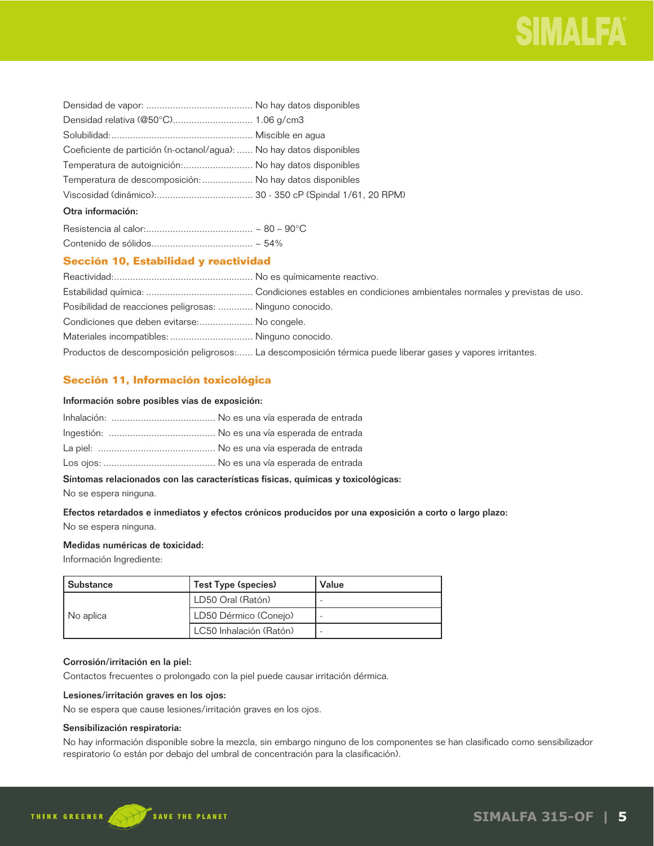

| Coeficiente de partición (n-octanol/agua):  No hay datos disponibles |  |
|----------------------------------------------------------------------|--|
| Temperatura de autoignición: No hay datos disponibles                |  |
| Temperatura de descomposición:  No hay datos disponibles             |  |
|                                                                      |  |
| Otra información:                                                    |  |

## **Sección 10, Estabilidad y reactividad**

| Posibilidad de reacciones peligrosas:  Ninguno conocido. |                                                                                                             |
|----------------------------------------------------------|-------------------------------------------------------------------------------------------------------------|
| Condiciones que deben evitarse: No congele.              |                                                                                                             |
| Materiales incompatibles:  Ninguno conocido.             |                                                                                                             |
|                                                          | Productos de descomposición peligrosos: La descomposición térmica puede liberar gases y vapores irritantes. |

## **Sección 11, Información toxicológica**

## Información sobre posibles vías de exposición:

## Síntomas relacionados con las características físicas, químicas y toxicológicas:

No se espera ninguna.

## Efectos retardados e inmediatos y efectos crónicos producidos por una exposición a corto o largo plazo: No se espera ninguna.

## Medidas numéricas de toxicidad:

Información Ingrediente:

| l Substance | Test Type (species)     | Value |
|-------------|-------------------------|-------|
| No aplica   | LD50 Oral (Ratón)       |       |
|             | LD50 Dérmico (Conejo)   |       |
|             | LC50 Inhalación (Ratón) |       |

## Corrosión/irritación en la piel:

Contactos frecuentes o prolongado con la piel puede causar irritación dérmica.

## Lesiones/irritación graves en los ojos:

No se espera que cause lesiones/irritación graves en los ojos.

## Sensibilización respiratoria:

No hay información disponible sobre la mezcla, sin embargo ninguno de los componentes se han clasificado como sensibilizador respiratorio (o están por debajo del umbral de concentración para la clasificación).

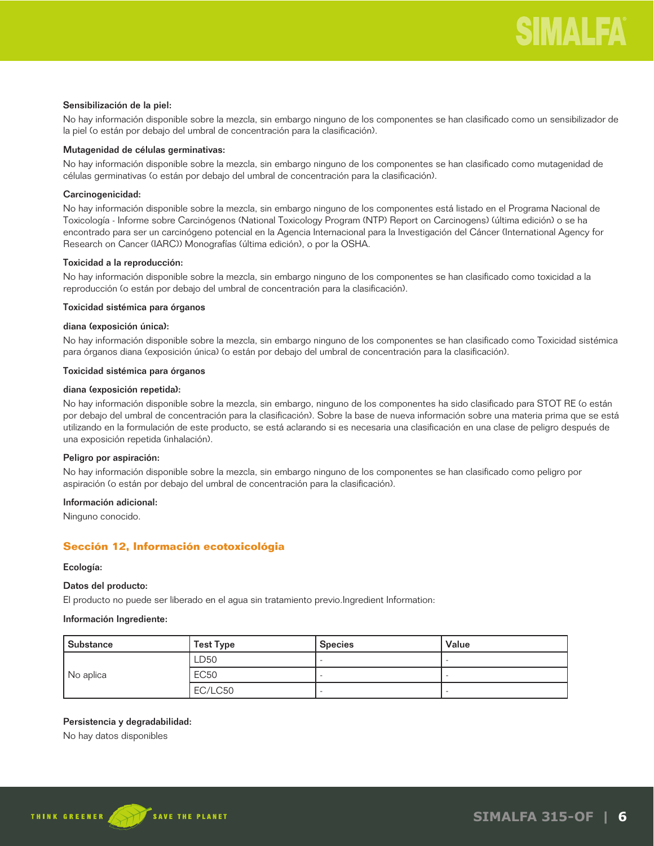#### Sensibilización de la piel:

No hay información disponible sobre la mezcla, sin embargo ninguno de los componentes se han clasificado como un sensibilizador de la piel (o están por debajo del umbral de concentración para la clasificación).

## Mutagenidad de células germinativas:

No hay información disponible sobre la mezcla, sin embargo ninguno de los componentes se han clasificado como mutagenidad de células germinativas (o están por debajo del umbral de concentración para la clasificación).

## Carcinogenicidad:

No hay información disponible sobre la mezcla, sin embargo ninguno de los componentes está listado en el Programa Nacional de Toxicología - Informe sobre Carcinógenos (National Toxicology Program (NTP) Report on Carcinogens) (última edición) o se ha encontrado para ser un carcinógeno potencial en la Agencia Internacional para la Investigación del Cáncer (International Agency for Research on Cancer (IARC)) Monografías (última edición), o por la OSHA.

## Toxicidad a la reproducción:

No hay información disponible sobre la mezcla, sin embargo ninguno de los componentes se han clasificado como toxicidad a la reproducción (o están por debajo del umbral de concentración para la clasificación).

## Toxicidad sistémica para órganos

## diana (exposición única):

No hay información disponible sobre la mezcla, sin embargo ninguno de los componentes se han clasificado como Toxicidad sistémica para órganos diana (exposición única) (o están por debajo del umbral de concentración para la clasificación).

#### Toxicidad sistémica para órganos

#### diana (exposición repetida):

No hay información disponible sobre la mezcla, sin embargo, ninguno de los componentes ha sido clasificado para STOT RE (o están por debajo del umbral de concentración para la clasificación). Sobre la base de nueva información sobre una materia prima que se está utilizando en la formulación de este producto, se está aclarando si es necesaria una clasificación en una clase de peligro después de una exposición repetida (inhalación).

#### Peligro por aspiración:

No hay información disponible sobre la mezcla, sin embargo ninguno de los componentes se han clasificado como peligro por aspiración (o están por debajo del umbral de concentración para la clasificación).

## Información adicional:

Ninguno conocido.

## **Sección 12, Información ecotoxicológia**

#### Ecología:

## Datos del producto:

El producto no puede ser liberado en el agua sin tratamiento previo.Ingredient Information:

#### Información Ingrediente:

| <b>Substance</b> | <b>Test Type</b> | <b>Species</b> | Value |
|------------------|------------------|----------------|-------|
| No aplica        | LD50             |                |       |
|                  | <b>EC50</b>      |                |       |
|                  | EC/LC50          |                |       |

## Persistencia y degradabilidad:

No hay datos disponibles

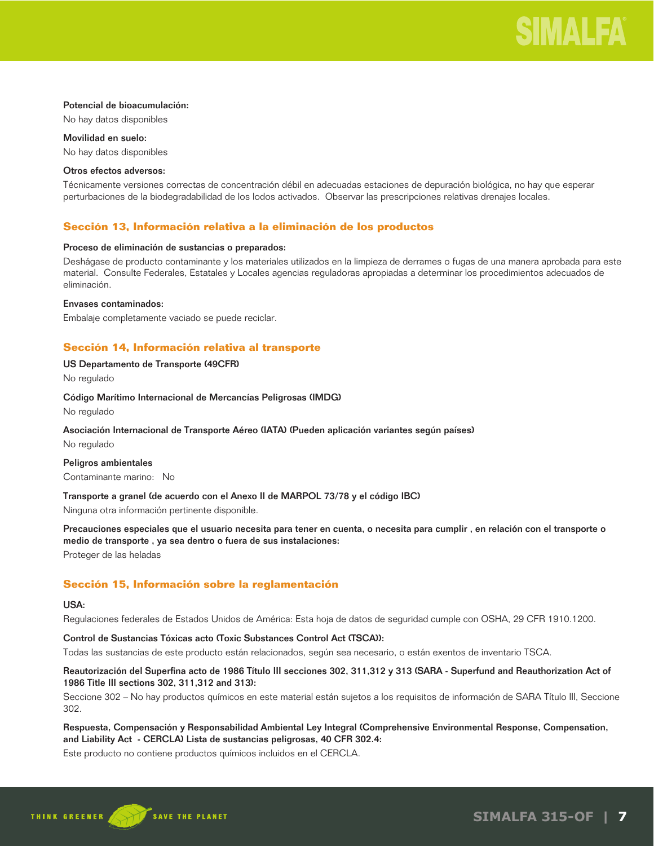#### Potencial de bioacumulación:

No hay datos disponibles

Movilidad en suelo:

No hay datos disponibles

## Otros efectos adversos:

Técnicamente versiones correctas de concentración débil en adecuadas estaciones de depuración biológica, no hay que esperar perturbaciones de la biodegradabilidad de los lodos activados. Observar las prescripciones relativas drenajes locales.

## **Sección 13, Información relativa a la eliminación de los productos**

## Proceso de eliminación de sustancias o preparados:

Deshágase de producto contaminante y los materiales utilizados en la limpieza de derrames o fugas de una manera aprobada para este material. Consulte Federales, Estatales y Locales agencias reguladoras apropiadas a determinar los procedimientos adecuados de eliminación.

## Envases contaminados:

Embalaje completamente vaciado se puede reciclar.

## **Sección 14, Información relativa al transporte**

## US Departamento de Transporte (49CFR)

No regulado

## Código Marítimo Internacional de Mercancías Peligrosas (IMDG)

No regulado

## Asociación Internacional de Transporte Aéreo (IATA) (Pueden aplicación variantes según países)

No regulado

#### Peligros ambientales

Contaminante marino: No

## Transporte a granel (de acuerdo con el Anexo II de MARPOL 73/78 y el código IBC)

Ninguna otra información pertinente disponible.

Precauciones especiales que el usuario necesita para tener en cuenta, o necesita para cumplir , en relación con el transporte o medio de transporte , ya sea dentro o fuera de sus instalaciones:

Proteger de las heladas

## **Sección 15, Información sobre la reglamentación**

#### USA:

Regulaciones federales de Estados Unidos de América: Esta hoja de datos de seguridad cumple con OSHA, 29 CFR 1910.1200.

## Control de Sustancias Tóxicas acto (Toxic Substances Control Act (TSCA)):

Todas las sustancias de este producto están relacionados, según sea necesario, o están exentos de inventario TSCA.

## Reautorización del Superfina acto de 1986 Título III secciones 302, 311,312 y 313 (SARA - Superfund and Reauthorization Act of 1986 Title III sections 302, 311,312 and 313):

Seccione 302 – No hay productos químicos en este material están sujetos a los requisitos de información de SARA Título III, Seccione 302.

## Respuesta, Compensación y Responsabilidad Ambiental Ley Integral (Comprehensive Environmental Response, Compensation, and Liability Act - CERCLA) Lista de sustancias peligrosas, 40 CFR 302.4:

Este producto no contiene productos químicos incluidos en el CERCLA.